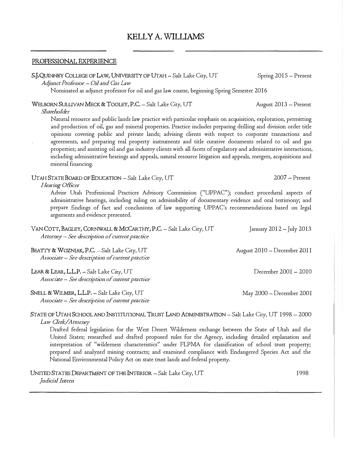# KELLY A. WILLIAMS

#### PROFESSIONAL EXPERIENCE

S.J.QUINNEY COLLEGE OF LAW, UNIVERSITY OF UTAH - Salt Lake City, UT Spring 2015 - Present *Adjunct Profrssol'- Oil and Gas Law*  Nominated as adjunct professor for oil and gas law course, beginning Spring Semester 2016 WELBORN SULLIVAN MECK & TOOLEY, P.C. - Salt Lake City, UT August 2013 - Present *Slwrel10lde1·*  Natural resource and public lands law practice with particular emphasis on acquisition, exploration, permitting and production of oil, gas and mineral properties. Practice includes preparing drilling and division order title opinions covering public and private lands; advising clients with respect to corporate transactions and agreements, and preparing real property instruments and title curative documents related to oil and gas properties; and assisting oil and gas industry clients with all facets of regulatory and administrative interactions, including administrative hearings and appeals, natural resource litigation and appeals, mergers, acquisitions and mineral financing. . UTAHSTATEBOARDOFEDUCATION-Salt Lake *City,* UT 2007-Present *Hearing Office<sup>r</sup>* Advise Utah Professional Practices Advisory Commission ("UPPAC"); conduct procedural aspects of administrative hearings, including ruling on admissibility of documentary evidence and oral testimony; and prepare findings of fact and conclusions of law supporting UPPAC's recommendations based on legal arguments and evidence presented. VAN COTT, BAGLEY, CORNWALL & MCCARTHY, P.C. - Salt Lake City, UT *Attorney* – *See description of current practice* January  $2012 -$  July  $2013$ 

BEATTY & WOZNIAK, P.C. - Salt Lake City, UT *Associate* -*See descnption of cmTent practice*  August 20 IO -December *20* I I

LEAR & LEAR,  $L.L.P. - Salt Lake City, UT$ *Associate* -*See descn'ption of cwTent practice* 

SNELL & WILMER, L.L.P. - Salt Lake City, UT *Associate* -*See description of cwi-ent practice*  May 2000-December 2001

December 2001 - 2010

## STATE OF UT AH SCHOOL AND INSTITUTIONAL TRUST LAND ADMINISTRATION -Salt Lake *City,* UT I 998 -2000 *Law Clerk/Attorney*

Drafted federal legislation for the West Desert Wilderness exchange between the State of Utah and the United States; researched and drafted proposed rules for the Agency, including detailed explanation and interpretation of "wilderness characteristics" under FLPMA for classification of school trust property; prepared and analyzed mining contracts; and examined compliance with Endangered Species Act and the National Environmental Policy Act on state trust lands and federal property.

UNITED STATES DEPARTMENT OF THE INTERIOR - Salt Lake City, UT *jud1'chl Intern*  1998